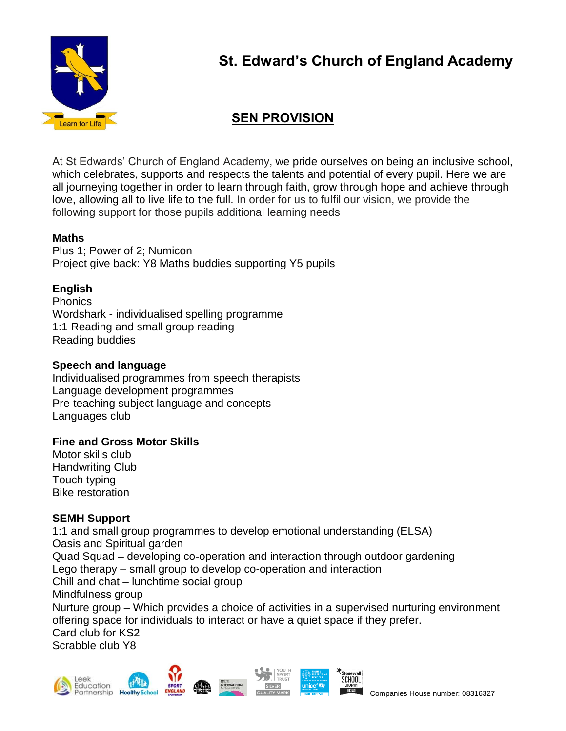

# **St. Edward's Church of England Academy**

## **SEN PROVISION**

At St Edwards' Church of England Academy, we pride ourselves on being an inclusive school, which celebrates, supports and respects the talents and potential of every pupil. Here we are all journeying together in order to learn through faith, grow through hope and achieve through love, allowing all to live life to the full. In order for us to fulfil our vision, we provide the following support for those pupils additional learning needs

## **Maths**

Plus 1; Power of 2; Numicon Project give back: Y8 Maths buddies supporting Y5 pupils

## **English**

**Phonics** Wordshark - individualised spelling programme 1:1 Reading and small group reading Reading buddies

### **Speech and language**

Individualised programmes from speech therapists Language development programmes Pre-teaching subject language and concepts Languages club

## **Fine and Gross Motor Skills**

Motor skills club Handwriting Club Touch typing Bike restoration

#### **SEMH Support**

1:1 and small group programmes to develop emotional understanding (ELSA) Oasis and Spiritual garden Quad Squad – developing co-operation and interaction through outdoor gardening Lego therapy – small group to develop co-operation and interaction Chill and chat – lunchtime social group Mindfulness group Nurture group – Which provides a choice of activities in a supervised nurturing environment offering space for individuals to interact or have a quiet space if they prefer. Card club for KS2 Scrabble club Y8